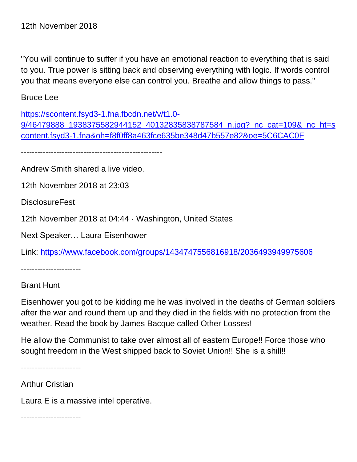"You will continue to suffer if you have an emotional reaction to everything that is said to you. True power is sitting back and observing everything with logic. If words control you that means everyone else can control you. Breathe and allow things to pass."

Bruce Lee

[https://scontent.fsyd3-1.fna.fbcdn.net/v/t1.0-](https://scontent.fsyd3-1.fna.fbcdn.net/v/t1.0-9/46479888_1938375582944152_40132835838787584_n.jpg?_nc_cat=109&_nc_ht=scontent.fsyd3-1.fna&oh=f8f0ff8a463fce635be348d47b557e82&oe=5C6CAC0F) [9/46479888\\_1938375582944152\\_40132835838787584\\_n.jpg?\\_nc\\_cat=109&\\_nc\\_ht=s](https://scontent.fsyd3-1.fna.fbcdn.net/v/t1.0-9/46479888_1938375582944152_40132835838787584_n.jpg?_nc_cat=109&_nc_ht=scontent.fsyd3-1.fna&oh=f8f0ff8a463fce635be348d47b557e82&oe=5C6CAC0F) [content.fsyd3-1.fna&oh=f8f0ff8a463fce635be348d47b557e82&oe=5C6CAC0F](https://scontent.fsyd3-1.fna.fbcdn.net/v/t1.0-9/46479888_1938375582944152_40132835838787584_n.jpg?_nc_cat=109&_nc_ht=scontent.fsyd3-1.fna&oh=f8f0ff8a463fce635be348d47b557e82&oe=5C6CAC0F)

----------------------------------------------------

Andrew Smith shared a live video.

12th November 2018 at 23:03

**DisclosureFest** 

12th November 2018 at 04:44 · Washington, United States

Next Speaker… Laura Eisenhower

Link:<https://www.facebook.com/groups/1434747556816918/2036493949975606>

----------------------

Brant Hunt

Eisenhower you got to be kidding me he was involved in the deaths of German soldiers after the war and round them up and they died in the fields with no protection from the weather. Read the book by James Bacque called Other Losses!

He allow the Communist to take over almost all of eastern Europe!! Force those who sought freedom in the West shipped back to Soviet Union!! She is a shill!!

----------------------

Arthur Cristian

Laura E is a massive intel operative.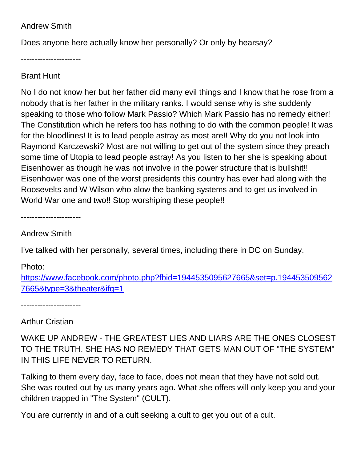#### Andrew Smith

Does anyone here actually know her personally? Or only by hearsay?

----------------------

#### Brant Hunt

No I do not know her but her father did many evil things and I know that he rose from a nobody that is her father in the military ranks. I would sense why is she suddenly speaking to those who follow Mark Passio? Which Mark Passio has no remedy either! The Constitution which he refers too has nothing to do with the common people! It was for the bloodlines! It is to lead people astray as most are!! Why do you not look into Raymond Karczewski? Most are not willing to get out of the system since they preach some time of Utopia to lead people astray! As you listen to her she is speaking about Eisenhower as though he was not involve in the power structure that is bullshit!! Eisenhower was one of the worst presidents this country has ever had along with the Roosevelts and W Wilson who alow the banking systems and to get us involved in World War one and two!! Stop worshiping these people!!

----------------------

Andrew Smith

I've talked with her personally, several times, including there in DC on Sunday.

## Photo:

[https://www.facebook.com/photo.php?fbid=1944535095627665&set=p.194453509562](https://www.facebook.com/photo.php?fbid=1944535095627665&set=p.1944535095627665&type=3&theater&ifg=1) [7665&type=3&theater&ifg=1](https://www.facebook.com/photo.php?fbid=1944535095627665&set=p.1944535095627665&type=3&theater&ifg=1)

----------------------

## Arthur Cristian

WAKE UP ANDREW - THE GREATEST LIES AND LIARS ARE THE ONES CLOSEST TO THE TRUTH. SHE HAS NO REMEDY THAT GETS MAN OUT OF "THE SYSTEM" IN THIS LIFE NEVER TO RETURN.

Talking to them every day, face to face, does not mean that they have not sold out. She was routed out by us many years ago. What she offers will only keep you and your children trapped in "The System" (CULT).

You are currently in and of a cult seeking a cult to get you out of a cult.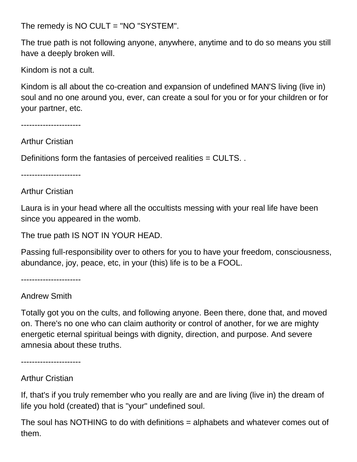The remedy is NO CULT = "NO "SYSTEM".

The true path is not following anyone, anywhere, anytime and to do so means you still have a deeply broken will.

Kindom is not a cult.

Kindom is all about the co-creation and expansion of undefined MAN'S living (live in) soul and no one around you, ever, can create a soul for you or for your children or for your partner, etc.

----------------------

Arthur Cristian

Definitions form the fantasies of perceived realities = CULTS. .

----------------------

Arthur Cristian

Laura is in your head where all the occultists messing with your real life have been since you appeared in the womb.

The true path IS NOT IN YOUR HEAD.

Passing full-responsibility over to others for you to have your freedom, consciousness, abundance, joy, peace, etc, in your (this) life is to be a FOOL.

----------------------

Andrew Smith

Totally got you on the cults, and following anyone. Been there, done that, and moved on. There's no one who can claim authority or control of another, for we are mighty energetic eternal spiritual beings with dignity, direction, and purpose. And severe amnesia about these truths.

----------------------

## Arthur Cristian

If, that's if you truly remember who you really are and are living (live in) the dream of life you hold (created) that is "your" undefined soul.

The soul has NOTHING to do with definitions = alphabets and whatever comes out of them.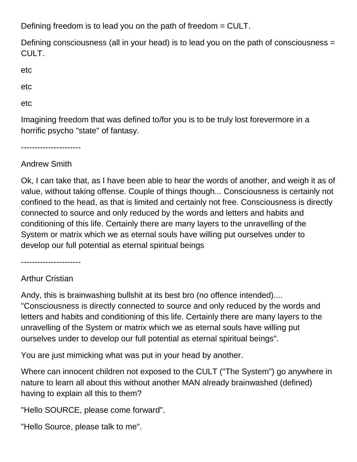Defining freedom is to lead you on the path of freedom = CULT.

Defining consciousness (all in your head) is to lead you on the path of consciousness = CULT.

etc

etc

etc

Imagining freedom that was defined to/for you is to be truly lost forevermore in a horrific psycho "state" of fantasy.

----------------------

Andrew Smith

Ok, I can take that, as I have been able to hear the words of another, and weigh it as of value, without taking offense. Couple of things though... Consciousness is certainly not confined to the head, as that is limited and certainly not free. Consciousness is directly connected to source and only reduced by the words and letters and habits and conditioning of this life. Certainly there are many layers to the unravelling of the System or matrix which we as eternal souls have willing put ourselves under to develop our full potential as eternal spiritual beings

----------------------

## Arthur Cristian

Andy, this is brainwashing bullshit at its best bro (no offence intended).... "Consciousness is directly connected to source and only reduced by the words and letters and habits and conditioning of this life. Certainly there are many layers to the unravelling of the System or matrix which we as eternal souls have willing put ourselves under to develop our full potential as eternal spiritual beings".

You are just mimicking what was put in your head by another.

Where can innocent children not exposed to the CULT ("The System") go anywhere in nature to learn all about this without another MAN already brainwashed (defined) having to explain all this to them?

"Hello SOURCE, please come forward".

"Hello Source, please talk to me".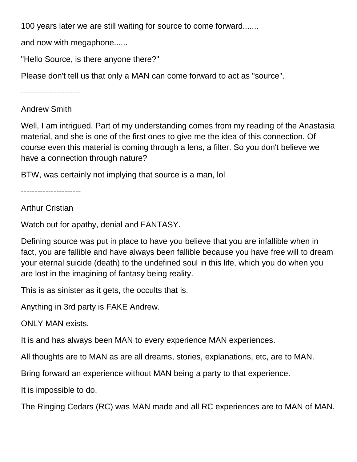100 years later we are still waiting for source to come forward.......

and now with megaphone......

"Hello Source, is there anyone there?"

Please don't tell us that only a MAN can come forward to act as "source".

----------------------

## Andrew Smith

Well, I am intrigued. Part of my understanding comes from my reading of the Anastasia material, and she is one of the first ones to give me the idea of this connection. Of course even this material is coming through a lens, a filter. So you don't believe we have a connection through nature?

BTW, was certainly not implying that source is a man, lol

----------------------

Arthur Cristian

Watch out for apathy, denial and FANTASY.

Defining source was put in place to have you believe that you are infallible when in fact, you are fallible and have always been fallible because you have free will to dream your eternal suicide (death) to the undefined soul in this life, which you do when you are lost in the imagining of fantasy being reality.

This is as sinister as it gets, the occults that is.

Anything in 3rd party is FAKE Andrew.

ONLY MAN exists.

It is and has always been MAN to every experience MAN experiences.

All thoughts are to MAN as are all dreams, stories, explanations, etc, are to MAN.

Bring forward an experience without MAN being a party to that experience.

It is impossible to do.

The Ringing Cedars (RC) was MAN made and all RC experiences are to MAN of MAN.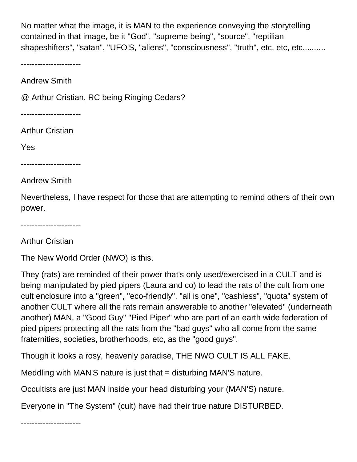No matter what the image, it is MAN to the experience conveying the storytelling contained in that image, be it "God", "supreme being", "source", "reptilian shapeshifters", "satan", "UFO'S, "aliens", "consciousness", "truth", etc, etc, etc..........

----------------------

Andrew Smith

@ Arthur Cristian, RC being Ringing Cedars?

----------------------

Arthur Cristian

Yes

----------------------

Andrew Smith

Nevertheless, I have respect for those that are attempting to remind others of their own power.

----------------------

Arthur Cristian

The New World Order (NWO) is this.

They (rats) are reminded of their power that's only used/exercised in a CULT and is being manipulated by pied pipers (Laura and co) to lead the rats of the cult from one cult enclosure into a "green", "eco-friendly", "all is one", "cashless", "quota" system of another CULT where all the rats remain answerable to another "elevated" (underneath another) MAN, a "Good Guy" "Pied Piper" who are part of an earth wide federation of pied pipers protecting all the rats from the "bad guys" who all come from the same fraternities, societies, brotherhoods, etc, as the "good guys".

Though it looks a rosy, heavenly paradise, THE NWO CULT IS ALL FAKE.

Meddling with MAN'S nature is just that = disturbing MAN'S nature.

Occultists are just MAN inside your head disturbing your (MAN'S) nature.

Everyone in "The System" (cult) have had their true nature DISTURBED.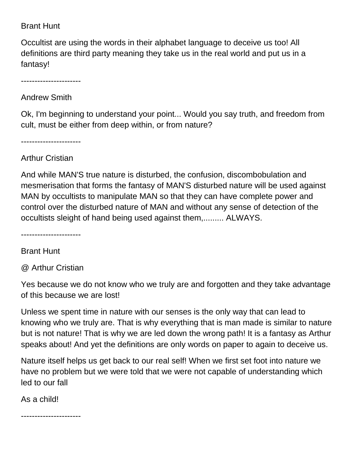#### Brant Hunt

Occultist are using the words in their alphabet language to deceive us too! All definitions are third party meaning they take us in the real world and put us in a fantasy!

----------------------

#### Andrew Smith

Ok, I'm beginning to understand your point... Would you say truth, and freedom from cult, must be either from deep within, or from nature?

----------------------

Arthur Cristian

And while MAN'S true nature is disturbed, the confusion, discombobulation and mesmerisation that forms the fantasy of MAN'S disturbed nature will be used against MAN by occultists to manipulate MAN so that they can have complete power and control over the disturbed nature of MAN and without any sense of detection of the occultists sleight of hand being used against them,......... ALWAYS.

----------------------

Brant Hunt

@ Arthur Cristian

Yes because we do not know who we truly are and forgotten and they take advantage of this because we are lost!

Unless we spent time in nature with our senses is the only way that can lead to knowing who we truly are. That is why everything that is man made is similar to nature but is not nature! That is why we are led down the wrong path! It is a fantasy as Arthur speaks about! And yet the definitions are only words on paper to again to deceive us.

Nature itself helps us get back to our real self! When we first set foot into nature we have no problem but we were told that we were not capable of understanding which led to our fall

As a child!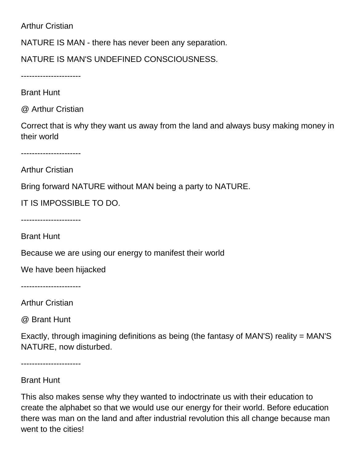NATURE IS MAN - there has never been any separation.

NATURE IS MAN'S UNDEFINED CONSCIOUSNESS.

----------------------

Brant Hunt

@ Arthur Cristian

Correct that is why they want us away from the land and always busy making money in their world

----------------------

Arthur Cristian

Bring forward NATURE without MAN being a party to NATURE.

IT IS IMPOSSIBLE TO DO.

----------------------

Brant Hunt

Because we are using our energy to manifest their world

We have been hijacked

----------------------

Arthur Cristian

@ Brant Hunt

Exactly, through imagining definitions as being (the fantasy of MAN'S) reality = MAN'S NATURE, now disturbed.

----------------------

Brant Hunt

This also makes sense why they wanted to indoctrinate us with their education to create the alphabet so that we would use our energy for their world. Before education there was man on the land and after industrial revolution this all change because man went to the cities!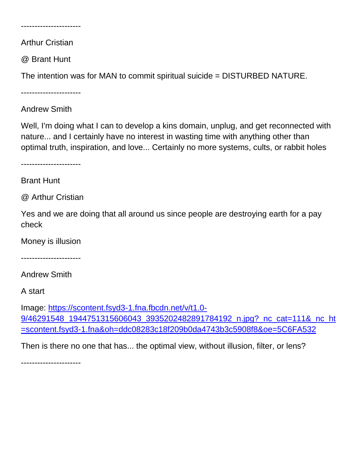----------------------

@ Brant Hunt

The intention was for MAN to commit spiritual suicide = DISTURBED NATURE.

----------------------

Andrew Smith

Well, I'm doing what I can to develop a kins domain, unplug, and get reconnected with nature... and I certainly have no interest in wasting time with anything other than optimal truth, inspiration, and love... Certainly no more systems, cults, or rabbit holes

----------------------

Brant Hunt

@ Arthur Cristian

Yes and we are doing that all around us since people are destroying earth for a pay check

Money is illusion

----------------------

Andrew Smith

A start

Image: [https://scontent.fsyd3-1.fna.fbcdn.net/v/t1.0-](https://scontent.fsyd3-1.fna.fbcdn.net/v/t1.0-9/46291548_1944751315606043_3935202482891784192_n.jpg?_nc_cat=111&_nc_ht=scontent.fsyd3-1.fna&oh=ddc08283c18f209b0da4743b3c5908f8&oe=5C6FA532) [9/46291548\\_1944751315606043\\_3935202482891784192\\_n.jpg?\\_nc\\_cat=111&\\_nc\\_ht](https://scontent.fsyd3-1.fna.fbcdn.net/v/t1.0-9/46291548_1944751315606043_3935202482891784192_n.jpg?_nc_cat=111&_nc_ht=scontent.fsyd3-1.fna&oh=ddc08283c18f209b0da4743b3c5908f8&oe=5C6FA532) [=scontent.fsyd3-1.fna&oh=ddc08283c18f209b0da4743b3c5908f8&oe=5C6FA532](https://scontent.fsyd3-1.fna.fbcdn.net/v/t1.0-9/46291548_1944751315606043_3935202482891784192_n.jpg?_nc_cat=111&_nc_ht=scontent.fsyd3-1.fna&oh=ddc08283c18f209b0da4743b3c5908f8&oe=5C6FA532)

Then is there no one that has... the optimal view, without illusion, filter, or lens?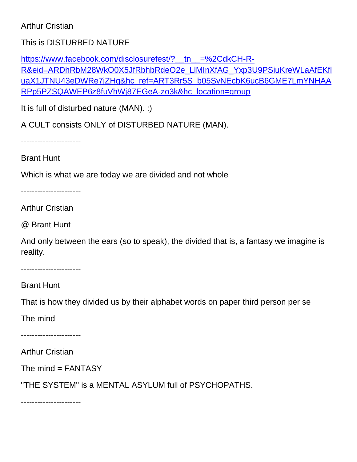This is DISTURBED NATURE

https://www.facebook.com/disclosurefest/? tn =%2CdkCH-R-[R&eid=ARDhRbM28WkO0X5JfRbhbRdeO2e\\_LlMInXfAG\\_Yxp3U9PSiuKreWLaAfEKfl](https://www.facebook.com/disclosurefest/?__tn__=%2CdkCH-R-R&eid=ARDhRbM28WkO0X5JfRbhbRdeO2e_LlMInXfAG_Yxp3U9PSiuKreWLaAfEKfluaX1JTNU43eDWRe7jZHq&hc_ref=ART3Rr5S_b05SvNEcbK6ucB6GME7LmYNHAARPp5PZSQAWEP6z8fuVhWj87EGeA-zo3k&hc_location=group) [uaX1JTNU43eDWRe7jZHq&hc\\_ref=ART3Rr5S\\_b05SvNEcbK6ucB6GME7LmYNHAA](https://www.facebook.com/disclosurefest/?__tn__=%2CdkCH-R-R&eid=ARDhRbM28WkO0X5JfRbhbRdeO2e_LlMInXfAG_Yxp3U9PSiuKreWLaAfEKfluaX1JTNU43eDWRe7jZHq&hc_ref=ART3Rr5S_b05SvNEcbK6ucB6GME7LmYNHAARPp5PZSQAWEP6z8fuVhWj87EGeA-zo3k&hc_location=group) [RPp5PZSQAWEP6z8fuVhWj87EGeA-zo3k&hc\\_location=group](https://www.facebook.com/disclosurefest/?__tn__=%2CdkCH-R-R&eid=ARDhRbM28WkO0X5JfRbhbRdeO2e_LlMInXfAG_Yxp3U9PSiuKreWLaAfEKfluaX1JTNU43eDWRe7jZHq&hc_ref=ART3Rr5S_b05SvNEcbK6ucB6GME7LmYNHAARPp5PZSQAWEP6z8fuVhWj87EGeA-zo3k&hc_location=group)

It is full of disturbed nature (MAN). :)

A CULT consists ONLY of DISTURBED NATURE (MAN).

----------------------

Brant Hunt

Which is what we are today we are divided and not whole

----------------------

Arthur Cristian

@ Brant Hunt

And only between the ears (so to speak), the divided that is, a fantasy we imagine is reality.

----------------------

Brant Hunt

That is how they divided us by their alphabet words on paper third person per se

The mind

----------------------

Arthur Cristian

The mind  $=$  FANTASY

"THE SYSTEM" is a MENTAL ASYLUM full of PSYCHOPATHS.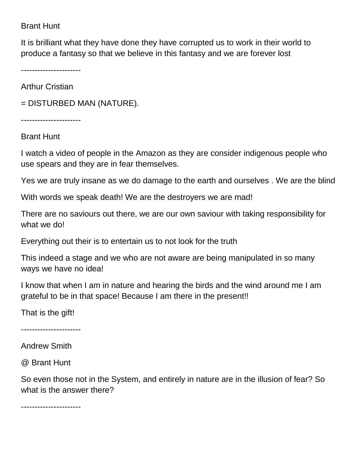#### Brant Hunt

It is brilliant what they have done they have corrupted us to work in their world to produce a fantasy so that we believe in this fantasy and we are forever lost

----------------------

Arthur Cristian

= DISTURBED MAN (NATURE).

----------------------

Brant Hunt

I watch a video of people in the Amazon as they are consider indigenous people who use spears and they are in fear themselves.

Yes we are truly insane as we do damage to the earth and ourselves . We are the blind

With words we speak death! We are the destroyers we are mad!

There are no saviours out there, we are our own saviour with taking responsibility for what we do!

Everything out their is to entertain us to not look for the truth

This indeed a stage and we who are not aware are being manipulated in so many ways we have no idea!

I know that when I am in nature and hearing the birds and the wind around me I am grateful to be in that space! Because I am there in the present!!

That is the gift!

----------------------

Andrew Smith

@ Brant Hunt

So even those not in the System, and entirely in nature are in the illusion of fear? So what is the answer there?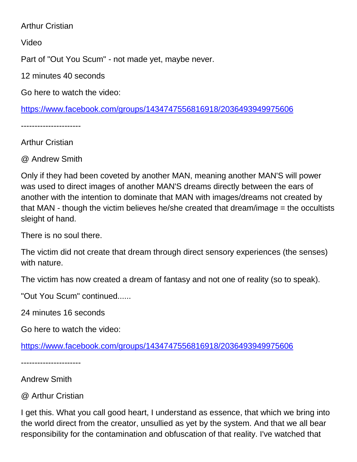Video

Part of "Out You Scum" - not made yet, maybe never.

12 minutes 40 seconds

Go here to watch the video:

<https://www.facebook.com/groups/1434747556816918/2036493949975606>

----------------------

Arthur Cristian

@ Andrew Smith

Only if they had been coveted by another MAN, meaning another MAN'S will power was used to direct images of another MAN'S dreams directly between the ears of another with the intention to dominate that MAN with images/dreams not created by that MAN - though the victim believes he/she created that dream/image = the occultists sleight of hand.

There is no soul there.

The victim did not create that dream through direct sensory experiences (the senses) with nature.

The victim has now created a dream of fantasy and not one of reality (so to speak).

"Out You Scum" continued......

24 minutes 16 seconds

Go here to watch the video:

<https://www.facebook.com/groups/1434747556816918/2036493949975606>

----------------------

Andrew Smith

@ Arthur Cristian

I get this. What you call good heart, I understand as essence, that which we bring into the world direct from the creator, unsullied as yet by the system. And that we all bear responsibility for the contamination and obfuscation of that reality. I've watched that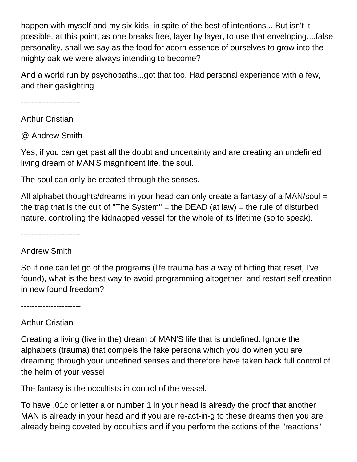happen with myself and my six kids, in spite of the best of intentions... But isn't it possible, at this point, as one breaks free, layer by layer, to use that enveloping....false personality, shall we say as the food for acorn essence of ourselves to grow into the mighty oak we were always intending to become?

And a world run by psychopaths...got that too. Had personal experience with a few, and their gaslighting

----------------------

Arthur Cristian

@ Andrew Smith

Yes, if you can get past all the doubt and uncertainty and are creating an undefined living dream of MAN'S magnificent life, the soul.

The soul can only be created through the senses.

All alphabet thoughts/dreams in your head can only create a fantasy of a MAN/soul = the trap that is the cult of "The System" = the DEAD (at law) = the rule of disturbed nature. controlling the kidnapped vessel for the whole of its lifetime (so to speak).

----------------------

## Andrew Smith

So if one can let go of the programs (life trauma has a way of hitting that reset, I've found), what is the best way to avoid programming altogether, and restart self creation in new found freedom?

----------------------

Arthur Cristian

Creating a living (live in the) dream of MAN'S life that is undefined. Ignore the alphabets (trauma) that compels the fake persona which you do when you are dreaming through your undefined senses and therefore have taken back full control of the helm of your vessel.

The fantasy is the occultists in control of the vessel.

To have .01c or letter a or number 1 in your head is already the proof that another MAN is already in your head and if you are re-act-in-g to these dreams then you are already being coveted by occultists and if you perform the actions of the "reactions"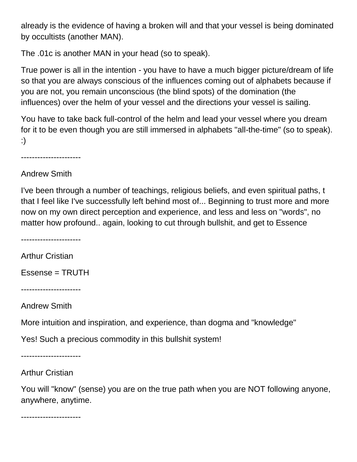already is the evidence of having a broken will and that your vessel is being dominated by occultists (another MAN).

The .01c is another MAN in your head (so to speak).

True power is all in the intention - you have to have a much bigger picture/dream of life so that you are always conscious of the influences coming out of alphabets because if you are not, you remain unconscious (the blind spots) of the domination (the influences) over the helm of your vessel and the directions your vessel is sailing.

You have to take back full-control of the helm and lead your vessel where you dream for it to be even though you are still immersed in alphabets "all-the-time" (so to speak). :)

----------------------

Andrew Smith

I've been through a number of teachings, religious beliefs, and even spiritual paths, t that I feel like I've successfully left behind most of... Beginning to trust more and more now on my own direct perception and experience, and less and less on "words", no matter how profound.. again, looking to cut through bullshit, and get to Essence

----------------------

Arthur Cristian

Essense = TRUTH

----------------------

Andrew Smith

More intuition and inspiration, and experience, than dogma and "knowledge"

Yes! Such a precious commodity in this bullshit system!

----------------------

Arthur Cristian

You will "know" (sense) you are on the true path when you are NOT following anyone, anywhere, anytime.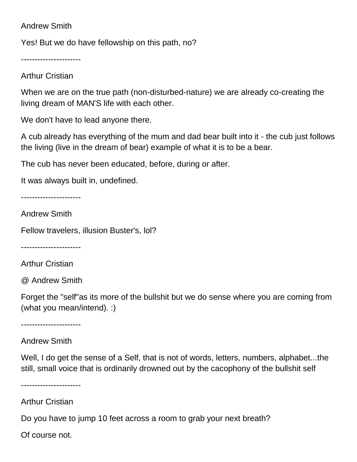#### Andrew Smith

Yes! But we do have fellowship on this path, no?

----------------------

#### Arthur Cristian

When we are on the true path (non-disturbed-nature) we are already co-creating the living dream of MAN'S life with each other.

We don't have to lead anyone there.

A cub already has everything of the mum and dad bear built into it - the cub just follows the living (live in the dream of bear) example of what it is to be a bear.

The cub has never been educated, before, during or after.

It was always built in, undefined.

----------------------

Andrew Smith

Fellow travelers, illusion Buster's, lol?

----------------------

Arthur Cristian

@ Andrew Smith

Forget the "self"as its more of the bullshit but we do sense where you are coming from (what you mean/intend). :)

----------------------

Andrew Smith

Well, I do get the sense of a Self, that is not of words, letters, numbers, alphabet...the still, small voice that is ordinarily drowned out by the cacophony of the bullshit self

----------------------

Arthur Cristian

Do you have to jump 10 feet across a room to grab your next breath?

Of course not.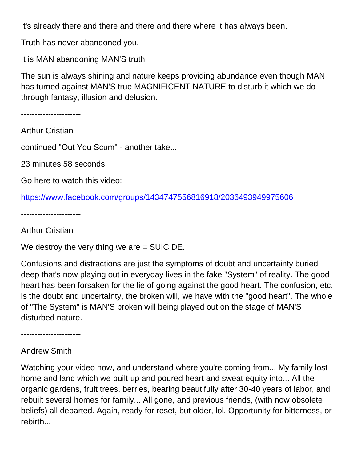It's already there and there and there and there where it has always been.

Truth has never abandoned you.

It is MAN abandoning MAN'S truth.

The sun is always shining and nature keeps providing abundance even though MAN has turned against MAN'S true MAGNIFICENT NATURE to disturb it which we do through fantasy, illusion and delusion.

----------------------

Arthur Cristian

continued "Out You Scum" - another take...

23 minutes 58 seconds

Go here to watch this video:

<https://www.facebook.com/groups/1434747556816918/2036493949975606>

----------------------

Arthur Cristian

We destroy the very thing we are = SUICIDE.

Confusions and distractions are just the symptoms of doubt and uncertainty buried deep that's now playing out in everyday lives in the fake "System" of reality. The good heart has been forsaken for the lie of going against the good heart. The confusion, etc, is the doubt and uncertainty, the broken will, we have with the "good heart". The whole of "The System" is MAN'S broken will being played out on the stage of MAN'S disturbed nature.

----------------------

#### Andrew Smith

Watching your video now, and understand where you're coming from... My family lost home and land which we built up and poured heart and sweat equity into... All the organic gardens, fruit trees, berries, bearing beautifully after 30-40 years of labor, and rebuilt several homes for family... All gone, and previous friends, (with now obsolete beliefs) all departed. Again, ready for reset, but older, lol. Opportunity for bitterness, or rebirth...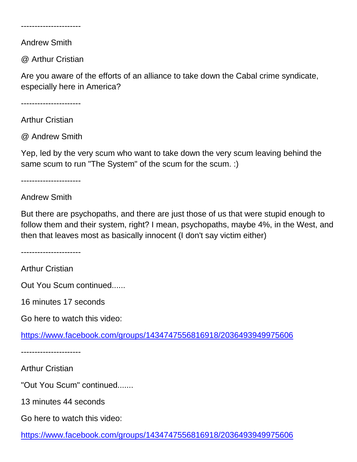----------------------

Andrew Smith

@ Arthur Cristian

Are you aware of the efforts of an alliance to take down the Cabal crime syndicate, especially here in America?

----------------------

Arthur Cristian

@ Andrew Smith

Yep, led by the very scum who want to take down the very scum leaving behind the same scum to run "The System" of the scum for the scum. :)

----------------------

Andrew Smith

But there are psychopaths, and there are just those of us that were stupid enough to follow them and their system, right? I mean, psychopaths, maybe 4%, in the West, and then that leaves most as basically innocent (I don't say victim either)

----------------------

Arthur Cristian

Out You Scum continued......

16 minutes 17 seconds

Go here to watch this video:

<https://www.facebook.com/groups/1434747556816918/2036493949975606>

----------------------

Arthur Cristian

"Out You Scum" continued.......

13 minutes 44 seconds

Go here to watch this video:

<https://www.facebook.com/groups/1434747556816918/2036493949975606>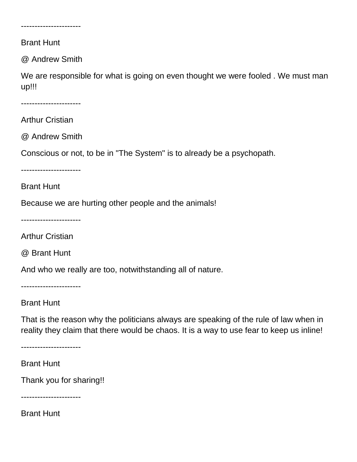----------------------

Brant Hunt

@ Andrew Smith

We are responsible for what is going on even thought we were fooled . We must man up!!!

----------------------

Arthur Cristian

@ Andrew Smith

Conscious or not, to be in "The System" is to already be a psychopath.

----------------------

Brant Hunt

Because we are hurting other people and the animals!

----------------------

Arthur Cristian

@ Brant Hunt

And who we really are too, notwithstanding all of nature.

----------------------

Brant Hunt

That is the reason why the politicians always are speaking of the rule of law when in reality they claim that there would be chaos. It is a way to use fear to keep us inline!

----------------------

Brant Hunt

Thank you for sharing!!

----------------------

Brant Hunt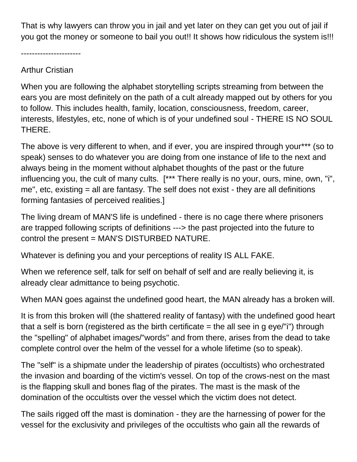That is why lawyers can throw you in jail and yet later on they can get you out of jail if you got the money or someone to bail you out!! It shows how ridiculous the system is!!!

----------------------

## Arthur Cristian

When you are following the alphabet storytelling scripts streaming from between the ears you are most definitely on the path of a cult already mapped out by others for you to follow. This includes health, family, location, consciousness, freedom, career, interests, lifestyles, etc, none of which is of your undefined soul - THERE IS NO SOUL THERE.

The above is very different to when, and if ever, you are inspired through your\*\*\* (so to speak) senses to do whatever you are doing from one instance of life to the next and always being in the moment without alphabet thoughts of the past or the future influencing you, the cult of many cults. [\*\*\* There really is no your, ours, mine, own, "i", me", etc, existing = all are fantasy. The self does not exist - they are all definitions forming fantasies of perceived realities.]

The living dream of MAN'S life is undefined - there is no cage there where prisoners are trapped following scripts of definitions ---> the past projected into the future to control the present = MAN'S DISTURBED NATURE.

Whatever is defining you and your perceptions of reality IS ALL FAKE.

When we reference self, talk for self on behalf of self and are really believing it, is already clear admittance to being psychotic.

When MAN goes against the undefined good heart, the MAN already has a broken will.

It is from this broken will (the shattered reality of fantasy) with the undefined good heart that a self is born (registered as the birth certificate  $=$  the all see in g eye/"i") through the "spelling" of alphabet images/"words" and from there, arises from the dead to take complete control over the helm of the vessel for a whole lifetime (so to speak).

The "self" is a shipmate under the leadership of pirates (occultists) who orchestrated the invasion and boarding of the victim's vessel. On top of the crows-nest on the mast is the flapping skull and bones flag of the pirates. The mast is the mask of the domination of the occultists over the vessel which the victim does not detect.

The sails rigged off the mast is domination - they are the harnessing of power for the vessel for the exclusivity and privileges of the occultists who gain all the rewards of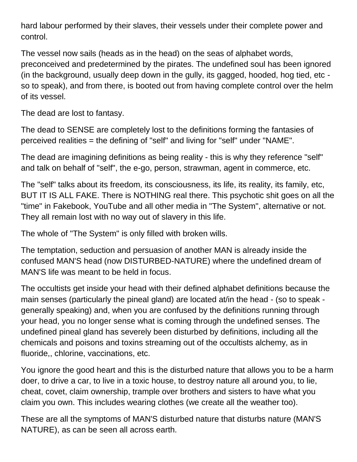hard labour performed by their slaves, their vessels under their complete power and control.

The vessel now sails (heads as in the head) on the seas of alphabet words, preconceived and predetermined by the pirates. The undefined soul has been ignored (in the background, usually deep down in the gully, its gagged, hooded, hog tied, etc so to speak), and from there, is booted out from having complete control over the helm of its vessel.

The dead are lost to fantasy.

The dead to SENSE are completely lost to the definitions forming the fantasies of perceived realities = the defining of "self" and living for "self" under "NAME".

The dead are imagining definitions as being reality - this is why they reference "self" and talk on behalf of "self", the e-go, person, strawman, agent in commerce, etc.

The "self" talks about its freedom, its consciousness, its life, its reality, its family, etc, BUT IT IS ALL FAKE. There is NOTHING real there. This psychotic shit goes on all the "time" in Fakebook, YouTube and all other media in "The System", alternative or not. They all remain lost with no way out of slavery in this life.

The whole of "The System" is only filled with broken wills.

The temptation, seduction and persuasion of another MAN is already inside the confused MAN'S head (now DISTURBED-NATURE) where the undefined dream of MAN'S life was meant to be held in focus.

The occultists get inside your head with their defined alphabet definitions because the main senses (particularly the pineal gland) are located at/in the head - (so to speak generally speaking) and, when you are confused by the definitions running through your head, you no longer sense what is coming through the undefined senses. The undefined pineal gland has severely been disturbed by definitions, including all the chemicals and poisons and toxins streaming out of the occultists alchemy, as in fluoride,, chlorine, vaccinations, etc.

You ignore the good heart and this is the disturbed nature that allows you to be a harm doer, to drive a car, to live in a toxic house, to destroy nature all around you, to lie, cheat, covet, claim ownership, trample over brothers and sisters to have what you claim you own. This includes wearing clothes (we create all the weather too).

These are all the symptoms of MAN'S disturbed nature that disturbs nature (MAN'S NATURE), as can be seen all across earth.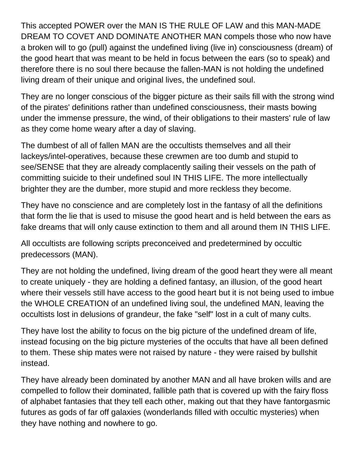This accepted POWER over the MAN IS THE RULE OF LAW and this MAN-MADE DREAM TO COVET AND DOMINATE ANOTHER MAN compels those who now have a broken will to go (pull) against the undefined living (live in) consciousness (dream) of the good heart that was meant to be held in focus between the ears (so to speak) and therefore there is no soul there because the fallen-MAN is not holding the undefined living dream of their unique and original lives, the undefined soul.

They are no longer conscious of the bigger picture as their sails fill with the strong wind of the pirates' definitions rather than undefined consciousness, their masts bowing under the immense pressure, the wind, of their obligations to their masters' rule of law as they come home weary after a day of slaving.

The dumbest of all of fallen MAN are the occultists themselves and all their lackeys/intel-operatives, because these crewmen are too dumb and stupid to see/SENSE that they are already complacently sailing their vessels on the path of committing suicide to their undefined soul IN THIS LIFE. The more intellectually brighter they are the dumber, more stupid and more reckless they become.

They have no conscience and are completely lost in the fantasy of all the definitions that form the lie that is used to misuse the good heart and is held between the ears as fake dreams that will only cause extinction to them and all around them IN THIS LIFE.

All occultists are following scripts preconceived and predetermined by occultic predecessors (MAN).

They are not holding the undefined, living dream of the good heart they were all meant to create uniquely - they are holding a defined fantasy, an illusion, of the good heart where their vessels still have access to the good heart but it is not being used to imbue the WHOLE CREATION of an undefined living soul, the undefined MAN, leaving the occultists lost in delusions of grandeur, the fake "self" lost in a cult of many cults.

They have lost the ability to focus on the big picture of the undefined dream of life, instead focusing on the big picture mysteries of the occults that have all been defined to them. These ship mates were not raised by nature - they were raised by bullshit instead.

They have already been dominated by another MAN and all have broken wills and are compelled to follow their dominated, fallible path that is covered up with the fairy floss of alphabet fantasies that they tell each other, making out that they have fantorgasmic futures as gods of far off galaxies (wonderlands filled with occultic mysteries) when they have nothing and nowhere to go.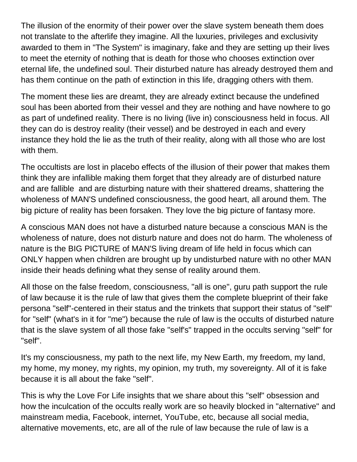The illusion of the enormity of their power over the slave system beneath them does not translate to the afterlife they imagine. All the luxuries, privileges and exclusivity awarded to them in "The System" is imaginary, fake and they are setting up their lives to meet the eternity of nothing that is death for those who chooses extinction over eternal life, the undefined soul. Their disturbed nature has already destroyed them and has them continue on the path of extinction in this life, dragging others with them.

The moment these lies are dreamt, they are already extinct because the undefined soul has been aborted from their vessel and they are nothing and have nowhere to go as part of undefined reality. There is no living (live in) consciousness held in focus. All they can do is destroy reality (their vessel) and be destroyed in each and every instance they hold the lie as the truth of their reality, along with all those who are lost with them.

The occultists are lost in placebo effects of the illusion of their power that makes them think they are infallible making them forget that they already are of disturbed nature and are fallible and are disturbing nature with their shattered dreams, shattering the wholeness of MAN'S undefined consciousness, the good heart, all around them. The big picture of reality has been forsaken. They love the big picture of fantasy more.

A conscious MAN does not have a disturbed nature because a conscious MAN is the wholeness of nature, does not disturb nature and does not do harm. The wholeness of nature is the BIG PICTURE of MAN'S living dream of life held in focus which can ONLY happen when children are brought up by undisturbed nature with no other MAN inside their heads defining what they sense of reality around them.

All those on the false freedom, consciousness, "all is one", guru path support the rule of law because it is the rule of law that gives them the complete blueprint of their fake persona "self"-centered in their status and the trinkets that support their status of "self" for "self" (what's in it for "me") because the rule of law is the occults of disturbed nature that is the slave system of all those fake "self's" trapped in the occults serving "self" for "self".

It's my consciousness, my path to the next life, my New Earth, my freedom, my land, my home, my money, my rights, my opinion, my truth, my sovereignty. All of it is fake because it is all about the fake "self".

This is why the Love For Life insights that we share about this "self" obsession and how the inculcation of the occults really work are so heavily blocked in "alternative" and mainstream media, Facebook, internet, YouTube, etc, because all social media, alternative movements, etc, are all of the rule of law because the rule of law is a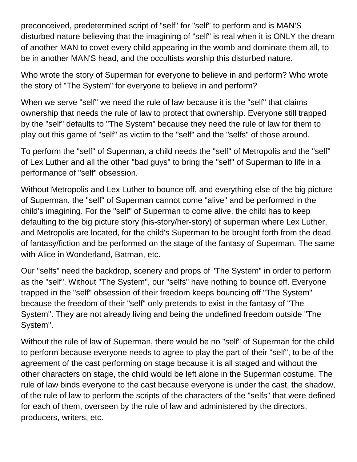preconceived, predetermined script of "self" for "self" to perform and is MAN'S disturbed nature believing that the imagining of "self" is real when it is ONLY the dream of another MAN to covet every child appearing in the womb and dominate them all, to be in another MAN'S head, and the occultists worship this disturbed nature.

Who wrote the story of Superman for everyone to believe in and perform? Who wrote the story of "The System" for everyone to believe in and perform?

When we serve "self" we need the rule of law because it is the "self" that claims ownership that needs the rule of law to protect that ownership. Everyone still trapped by the "self" defaults to "The System" because they need the rule of law for them to play out this game of "self" as victim to the "self" and the "selfs" of those around.

To perform the "self" of Superman, a child needs the "self" of Metropolis and the "self" of Lex Luther and all the other "bad guys" to bring the "self" of Superman to life in a performance of "self" obsession.

Without Metropolis and Lex Luther to bounce off, and everything else of the big picture of Superman, the "self" of Superman cannot come "alive" and be performed in the child's imagining. For the "self" of Superman to come alive, the child has to keep defaulting to the big picture story (his-story/her-story) of superman where Lex Luther, and Metropolis are located, for the child's Superman to be brought forth from the dead of fantasy/fiction and be performed on the stage of the fantasy of Superman. The same with Alice in Wonderland, Batman, etc.

Our "selfs" need the backdrop, scenery and props of "The System" in order to perform as the "self". Without "The System", our "selfs" have nothing to bounce off. Everyone trapped in the "self" obsession of their freedom keeps bouncing off "The System" because the freedom of their "self" only pretends to exist in the fantasy of "The System". They are not already living and being the undefined freedom outside "The System".

Without the rule of law of Superman, there would be no "self" of Superman for the child to perform because everyone needs to agree to play the part of their "self", to be of the agreement of the cast performing on stage because it is all staged and without the other characters on stage, the child would be left alone in the Superman costume. The rule of law binds everyone to the cast because everyone is under the cast, the shadow, of the rule of law to perform the scripts of the characters of the "selfs" that were defined for each of them, overseen by the rule of law and administered by the directors, producers, writers, etc.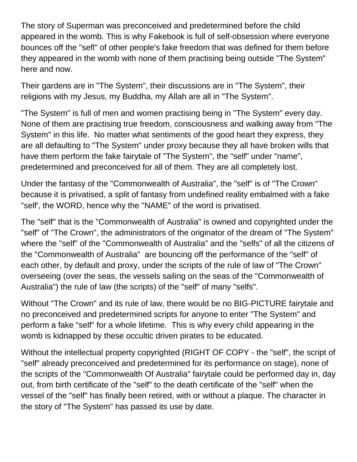The story of Superman was preconceived and predetermined before the child appeared in the womb. This is why Fakebook is full of self-obsession where everyone bounces off the "sefl" of other people's fake freedom that was defined for them before they appeared in the womb with none of them practising being outside "The System" here and now.

Their gardens are in "The System", their discussions are in "The System", their religions with my Jesus, my Buddha, my Allah are all in "The System".

"The System" is full of men and women practising being in "The System" every day. None of them are practising true freedom, consciousness and walking away from "The System" in this life. No matter what sentiments of the good heart they express, they are all defaulting to "The System" under proxy because they all have broken wills that have them perform the fake fairytale of "The System", the "self" under "name", predetermined and preconceived for all of them. They are all completely lost.

Under the fantasy of the "Commonwealth of Australia", the "self" is of "The Crown" because it is privatised, a split of fantasy from undefined reality embalmed with a fake "self', the WORD, hence why the "NAME" of the word is privatised.

The "self" that is the "Commonwealth of Australia" is owned and copyrighted under the "self" of "The Crown", the administrators of the originator of the dream of "The System" where the "self" of the "Commonwealth of Australia" and the "selfs" of all the citizens of the "Commonwealth of Australia" are bouncing off the performance of the "self" of each other, by default and proxy, under the scripts of the rule of law of "The Crown" overseeing (over the seas, the vessels sailing on the seas of the "Commonwealth of Australia") the rule of law (the scripts) of the "self" of many "selfs".

Without "The Crown" and its rule of law, there would be no BIG-PICTURE fairytale and no preconceived and predetermined scripts for anyone to enter "The System" and perform a fake "self" for a whole lifetime. This is why every child appearing in the womb is kidnapped by these occultic driven pirates to be educated.

Without the intellectual property copyrighted (RIGHT OF COPY - the "self", the script of "self" already preconceived and predetermined for its performance on stage), none of the scripts of the "Commonwealth Of Australia" fairytale could be performed day in, day out, from birth certificate of the "self" to the death certificate of the "self" when the vessel of the "self" has finally been retired, with or without a plaque. The character in the story of "The System" has passed its use by date.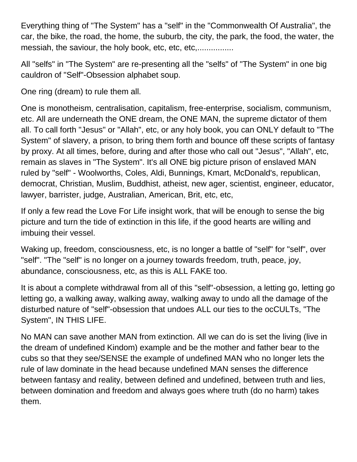Everything thing of "The System" has a "self" in the "Commonwealth Of Australia", the car, the bike, the road, the home, the suburb, the city, the park, the food, the water, the messiah, the saviour, the holy book, etc, etc, etc,..............................

All "selfs" in "The System" are re-presenting all the "selfs" of "The System" in one big cauldron of "Self"-Obsession alphabet soup.

One ring (dream) to rule them all.

One is monotheism, centralisation, capitalism, free-enterprise, socialism, communism, etc. All are underneath the ONE dream, the ONE MAN, the supreme dictator of them all. To call forth "Jesus" or "Allah", etc, or any holy book, you can ONLY default to "The System" of slavery, a prison, to bring them forth and bounce off these scripts of fantasy by proxy. At all times, before, during and after those who call out "Jesus", "Allah", etc, remain as slaves in "The System". It's all ONE big picture prison of enslaved MAN ruled by "self" - Woolworths, Coles, Aldi, Bunnings, Kmart, McDonald's, republican, democrat, Christian, Muslim, Buddhist, atheist, new ager, scientist, engineer, educator, lawyer, barrister, judge, Australian, American, Brit, etc, etc,

If only a few read the Love For Life insight work, that will be enough to sense the big picture and turn the tide of extinction in this life, if the good hearts are willing and imbuing their vessel.

Waking up, freedom, consciousness, etc, is no longer a battle of "self" for "self", over "self". "The "self" is no longer on a journey towards freedom, truth, peace, joy, abundance, consciousness, etc, as this is ALL FAKE too.

It is about a complete withdrawal from all of this "self"-obsession, a letting go, letting go letting go, a walking away, walking away, walking away to undo all the damage of the disturbed nature of "self"-obsession that undoes ALL our ties to the ocCULTs, "The System", IN THIS LIFE.

No MAN can save another MAN from extinction. All we can do is set the living (live in the dream of undefined Kindom) example and be the mother and father bear to the cubs so that they see/SENSE the example of undefined MAN who no longer lets the rule of law dominate in the head because undefined MAN senses the difference between fantasy and reality, between defined and undefined, between truth and lies, between domination and freedom and always goes where truth (do no harm) takes them.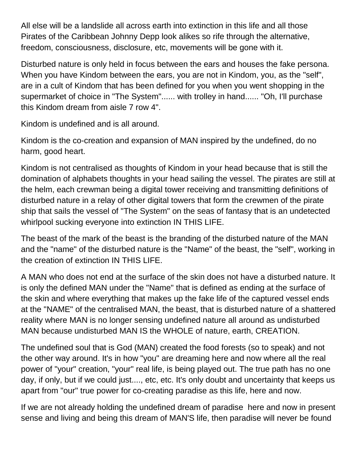All else will be a landslide all across earth into extinction in this life and all those Pirates of the Caribbean Johnny Depp look alikes so rife through the alternative, freedom, consciousness, disclosure, etc, movements will be gone with it.

Disturbed nature is only held in focus between the ears and houses the fake persona. When you have Kindom between the ears, you are not in Kindom, you, as the "self", are in a cult of Kindom that has been defined for you when you went shopping in the supermarket of choice in "The System"...... with trolley in hand...... "Oh, I'll purchase this Kindom dream from aisle 7 row 4".

Kindom is undefined and is all around.

Kindom is the co-creation and expansion of MAN inspired by the undefined, do no harm, good heart.

Kindom is not centralised as thoughts of Kindom in your head because that is still the domination of alphabets thoughts in your head sailing the vessel. The pirates are still at the helm, each crewman being a digital tower receiving and transmitting definitions of disturbed nature in a relay of other digital towers that form the crewmen of the pirate ship that sails the vessel of "The System" on the seas of fantasy that is an undetected whirlpool sucking everyone into extinction IN THIS LIFE.

The beast of the mark of the beast is the branding of the disturbed nature of the MAN and the "name" of the disturbed nature is the "Name" of the beast, the "self", working in the creation of extinction IN THIS LIFE.

A MAN who does not end at the surface of the skin does not have a disturbed nature. It is only the defined MAN under the "Name" that is defined as ending at the surface of the skin and where everything that makes up the fake life of the captured vessel ends at the "NAME" of the centralised MAN, the beast, that is disturbed nature of a shattered reality where MAN is no longer sensing undefined nature all around as undisturbed MAN because undisturbed MAN IS the WHOLE of nature, earth, CREATION.

The undefined soul that is God (MAN) created the food forests (so to speak) and not the other way around. It's in how "you" are dreaming here and now where all the real power of "your" creation, "your" real life, is being played out. The true path has no one day, if only, but if we could just...., etc, etc. It's only doubt and uncertainty that keeps us apart from "our" true power for co-creating paradise as this life, here and now.

If we are not already holding the undefined dream of paradise here and now in present sense and living and being this dream of MAN'S life, then paradise will never be found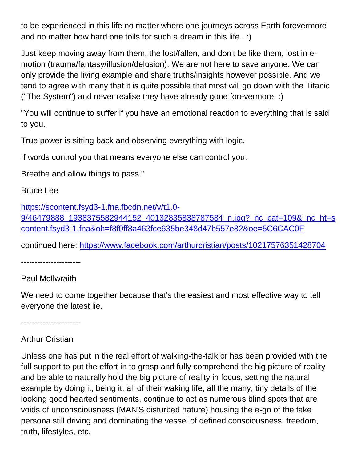to be experienced in this life no matter where one journeys across Earth forevermore and no matter how hard one toils for such a dream in this life.. :)

Just keep moving away from them, the lost/fallen, and don't be like them, lost in emotion (trauma/fantasy/illusion/delusion). We are not here to save anyone. We can only provide the living example and share truths/insights however possible. And we tend to agree with many that it is quite possible that most will go down with the Titanic ("The System") and never realise they have already gone forevermore. :)

"You will continue to suffer if you have an emotional reaction to everything that is said to you.

True power is sitting back and observing everything with logic.

If words control you that means everyone else can control you.

Breathe and allow things to pass."

## Bruce Lee

[https://scontent.fsyd3-1.fna.fbcdn.net/v/t1.0-](https://scontent.fsyd3-1.fna.fbcdn.net/v/t1.0-9/46479888_1938375582944152_40132835838787584_n.jpg?_nc_cat=109&_nc_ht=scontent.fsyd3-1.fna&oh=f8f0ff8a463fce635be348d47b557e82&oe=5C6CAC0F) 9/46479888 1938375582944152 40132835838787584 n.jpg? nc cat=109& nc ht=s [content.fsyd3-1.fna&oh=f8f0ff8a463fce635be348d47b557e82&oe=5C6CAC0F](https://scontent.fsyd3-1.fna.fbcdn.net/v/t1.0-9/46479888_1938375582944152_40132835838787584_n.jpg?_nc_cat=109&_nc_ht=scontent.fsyd3-1.fna&oh=f8f0ff8a463fce635be348d47b557e82&oe=5C6CAC0F)

continued here:<https://www.facebook.com/arthurcristian/posts/10217576351428704>

----------------------

## Paul McIlwraith

We need to come together because that's the easiest and most effective way to tell everyone the latest lie.

----------------------

# Arthur Cristian

Unless one has put in the real effort of walking-the-talk or has been provided with the full support to put the effort in to grasp and fully comprehend the big picture of reality and be able to naturally hold the big picture of reality in focus, setting the natural example by doing it, being it, all of their waking life, all the many, tiny details of the looking good hearted sentiments, continue to act as numerous blind spots that are voids of unconsciousness (MAN'S disturbed nature) housing the e-go of the fake persona still driving and dominating the vessel of defined consciousness, freedom, truth, lifestyles, etc.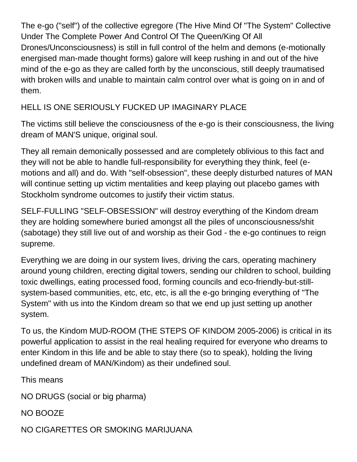The e-go ("self") of the collective egregore (The Hive Mind Of "The System" Collective Under The Complete Power And Control Of The Queen/King Of All Drones/Unconsciousness) is still in full control of the helm and demons (e-motionally energised man-made thought forms) galore will keep rushing in and out of the hive mind of the e-go as they are called forth by the unconscious, still deeply traumatised with broken wills and unable to maintain calm control over what is going on in and of them.

# HELL IS ONE SERIOUSLY FUCKED UP IMAGINARY PLACE

The victims still believe the consciousness of the e-go is their consciousness, the living dream of MAN'S unique, original soul.

They all remain demonically possessed and are completely oblivious to this fact and they will not be able to handle full-responsibility for everything they think, feel (emotions and all) and do. With "self-obsession", these deeply disturbed natures of MAN will continue setting up victim mentalities and keep playing out placebo games with Stockholm syndrome outcomes to justify their victim status.

SELF-FULLING "SELF-OBSESSION" will destroy everything of the Kindom dream they are holding somewhere buried amongst all the piles of unconsciousness/shit (sabotage) they still live out of and worship as their God - the e-go continues to reign supreme.

Everything we are doing in our system lives, driving the cars, operating machinery around young children, erecting digital towers, sending our children to school, building toxic dwellings, eating processed food, forming councils and eco-friendly-but-stillsystem-based communities, etc, etc, etc, is all the e-go bringing everything of "The System" with us into the Kindom dream so that we end up just setting up another system.

To us, the Kindom MUD-ROOM (THE STEPS OF KINDOM 2005-2006) is critical in its powerful application to assist in the real healing required for everyone who dreams to enter Kindom in this life and be able to stay there (so to speak), holding the living undefined dream of MAN/Kindom) as their undefined soul.

This means

NO DRUGS (social or big pharma)

NO BOOZE

NO CIGARETTES OR SMOKING MARIJUANA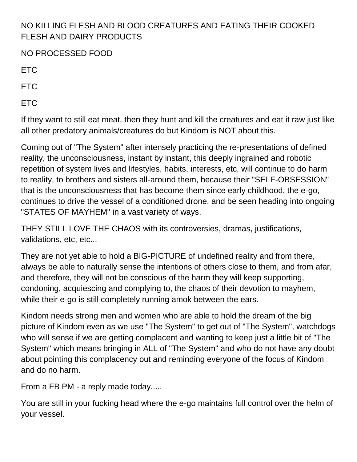# NO KILLING FLESH AND BLOOD CREATURES AND EATING THEIR COOKED FLESH AND DAIRY PRODUCTS

NO PROCESSED FOOD

ETC

ETC

ETC

If they want to still eat meat, then they hunt and kill the creatures and eat it raw just like all other predatory animals/creatures do but Kindom is NOT about this.

Coming out of "The System" after intensely practicing the re-presentations of defined reality, the unconsciousness, instant by instant, this deeply ingrained and robotic repetition of system lives and lifestyles, habits, interests, etc, will continue to do harm to reality, to brothers and sisters all-around them, because their "SELF-OBSESSION" that is the unconsciousness that has become them since early childhood, the e-go, continues to drive the vessel of a conditioned drone, and be seen heading into ongoing "STATES OF MAYHEM" in a vast variety of ways.

THEY STILL LOVE THE CHAOS with its controversies, dramas, justifications, validations, etc, etc...

They are not yet able to hold a BIG-PICTURE of undefined reality and from there, always be able to naturally sense the intentions of others close to them, and from afar, and therefore, they will not be conscious of the harm they will keep supporting, condoning, acquiescing and complying to, the chaos of their devotion to mayhem, while their e-go is still completely running amok between the ears.

Kindom needs strong men and women who are able to hold the dream of the big picture of Kindom even as we use "The System" to get out of "The System", watchdogs who will sense if we are getting complacent and wanting to keep just a little bit of "The System" which means bringing in ALL of "The System" and who do not have any doubt about pointing this complacency out and reminding everyone of the focus of Kindom and do no harm.

From a FB PM - a reply made today.....

You are still in your fucking head where the e-go maintains full control over the helm of your vessel.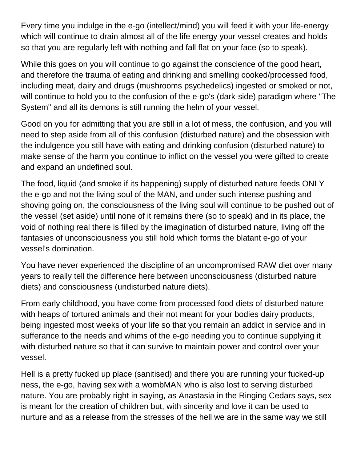Every time you indulge in the e-go (intellect/mind) you will feed it with your life-energy which will continue to drain almost all of the life energy your vessel creates and holds so that you are regularly left with nothing and fall flat on your face (so to speak).

While this goes on you will continue to go against the conscience of the good heart, and therefore the trauma of eating and drinking and smelling cooked/processed food, including meat, dairy and drugs (mushrooms psychedelics) ingested or smoked or not, will continue to hold you to the confusion of the e-go's (dark-side) paradigm where "The System" and all its demons is still running the helm of your vessel.

Good on you for admitting that you are still in a lot of mess, the confusion, and you will need to step aside from all of this confusion (disturbed nature) and the obsession with the indulgence you still have with eating and drinking confusion (disturbed nature) to make sense of the harm you continue to inflict on the vessel you were gifted to create and expand an undefined soul.

The food, liquid (and smoke if its happening) supply of disturbed nature feeds ONLY the e-go and not the living soul of the MAN, and under such intense pushing and shoving going on, the consciousness of the living soul will continue to be pushed out of the vessel (set aside) until none of it remains there (so to speak) and in its place, the void of nothing real there is filled by the imagination of disturbed nature, living off the fantasies of unconsciousness you still hold which forms the blatant e-go of your vessel's domination.

You have never experienced the discipline of an uncompromised RAW diet over many years to really tell the difference here between unconsciousness (disturbed nature diets) and consciousness (undisturbed nature diets).

From early childhood, you have come from processed food diets of disturbed nature with heaps of tortured animals and their not meant for your bodies dairy products, being ingested most weeks of your life so that you remain an addict in service and in sufferance to the needs and whims of the e-go needing you to continue supplying it with disturbed nature so that it can survive to maintain power and control over your vessel.

Hell is a pretty fucked up place (sanitised) and there you are running your fucked-up ness, the e-go, having sex with a wombMAN who is also lost to serving disturbed nature. You are probably right in saying, as Anastasia in the Ringing Cedars says, sex is meant for the creation of children but, with sincerity and love it can be used to nurture and as a release from the stresses of the hell we are in the same way we still